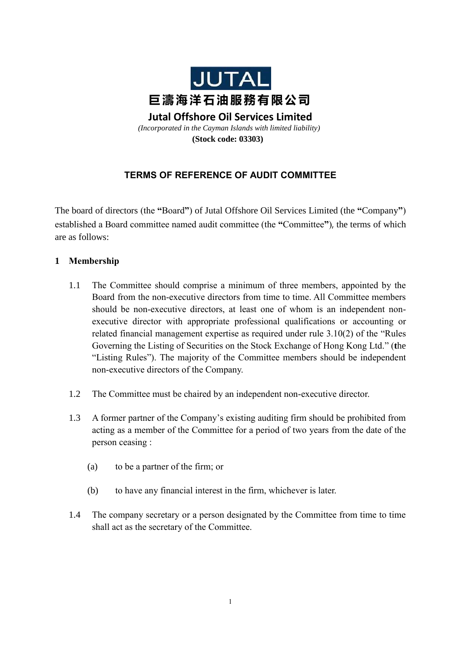

**Jutal Offshore Oil Services Limited** *(Incorporated in the Cayman Islands with limited liability)* **(Stock code: 03303)**

# **TERMS OF REFERENCE OF AUDIT COMMITTEE**

The board of directors (the **"**Board**"**) of Jutal Offshore Oil Services Limited (the **"**Company**"**) established a Board committee named audit committee (the **"**Committee**"**), the terms of which are as follows:

# **1 Membership**

- 1.1 The Committee should comprise a minimum of three members, appointed by the Board from the non-executive directors from time to time. All Committee members should be non-executive directors, at least one of whom is an independent nonexecutive director with appropriate professional qualifications or accounting or related financial management expertise as required under rule 3.10(2) of the "Rules Governing the Listing of Securities on the Stock Exchange of Hong Kong Ltd." (**t**he "Listing Rules"). The majority of the Committee members should be independent non-executive directors of the Company.
- 1.2 The Committee must be chaired by an independent non-executive director.
- 1.3 A former partner of the Company's existing auditing firm should be prohibited from acting as a member of the Committee for a period of two years from the date of the person ceasing :
	- (a) to be a partner of the firm; or
	- (b) to have any financial interest in the firm, whichever is later.
- 1.4 The company secretary or a person designated by the Committee from time to time shall act as the secretary of the Committee.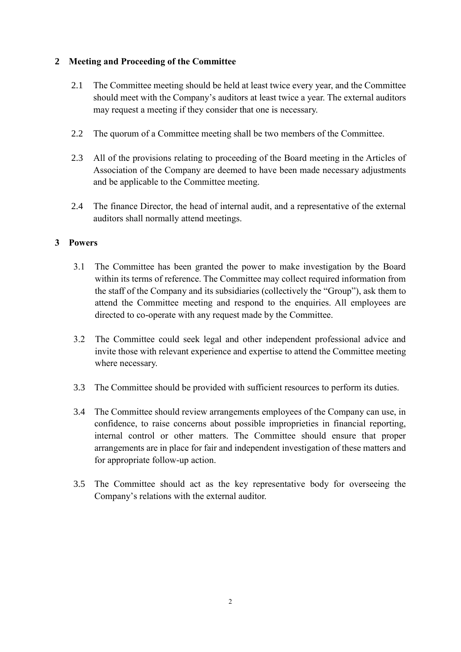### **2 Meeting and Proceeding of the Committee**

- 2.1 The Committee meeting should be held at least twice every year, and the Committee should meet with the Company's auditors at least twice a year. The external auditors may request a meeting if they consider that one is necessary.
- 2.2 The quorum of a Committee meeting shall be two members of the Committee.
- 2.3 All of the provisions relating to proceeding of the Board meeting in the Articles of Association of the Company are deemed to have been made necessary adjustments and be applicable to the Committee meeting.
- 2.4 The finance Director, the head of internal audit, and a representative of the external auditors shall normally attend meetings.

### **3 Powers**

- 3.1 The Committee has been granted the power to make investigation by the Board within its terms of reference. The Committee may collect required information from the staff of the Company and its subsidiaries (collectively the "Group"), ask them to attend the Committee meeting and respond to the enquiries. All employees are directed to co-operate with any request made by the Committee.
- 3.2 The Committee could seek legal and other independent professional advice and invite those with relevant experience and expertise to attend the Committee meeting where necessary.
- 3.3 The Committee should be provided with sufficient resources to perform its duties.
- 3.4 The Committee should review arrangements employees of the Company can use, in confidence, to raise concerns about possible improprieties in financial reporting, internal control or other matters. The Committee should ensure that proper arrangements are in place for fair and independent investigation of these matters and for appropriate follow-up action.
- 3.5 The Committee should act as the key representative body for overseeing the Company's relations with the external auditor.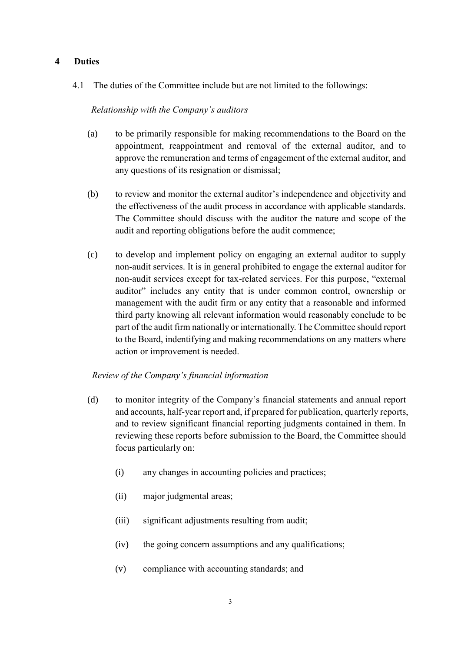## **4 Duties**

4.1 The duties of the Committee include but are not limited to the followings:

#### *Relationship with the Company's auditors*

- (a) to be primarily responsible for making recommendations to the Board on the appointment, reappointment and removal of the external auditor, and to approve the remuneration and terms of engagement of the external auditor, and any questions of its resignation or dismissal;
- (b) to review and monitor the external auditor's independence and objectivity and the effectiveness of the audit process in accordance with applicable standards. The Committee should discuss with the auditor the nature and scope of the audit and reporting obligations before the audit commence;
- (c) to develop and implement policy on engaging an external auditor to supply non-audit services. It is in general prohibited to engage the external auditor for non-audit services except for tax-related services. For this purpose, "external auditor" includes any entity that is under common control, ownership or management with the audit firm or any entity that a reasonable and informed third party knowing all relevant information would reasonably conclude to be part of the audit firm nationally or internationally. The Committee should report to the Board, indentifying and making recommendations on any matters where action or improvement is needed.

### *Review of the Company's financial information*

- (d) to monitor integrity of the Company's financial statements and annual report and accounts, half-year report and, if prepared for publication, quarterly reports, and to review significant financial reporting judgments contained in them. In reviewing these reports before submission to the Board, the Committee should focus particularly on:
	- (i) any changes in accounting policies and practices;
	- (ii) major judgmental areas;
	- (iii) significant adjustments resulting from audit;
	- (iv) the going concern assumptions and any qualifications;
	- (v) compliance with accounting standards; and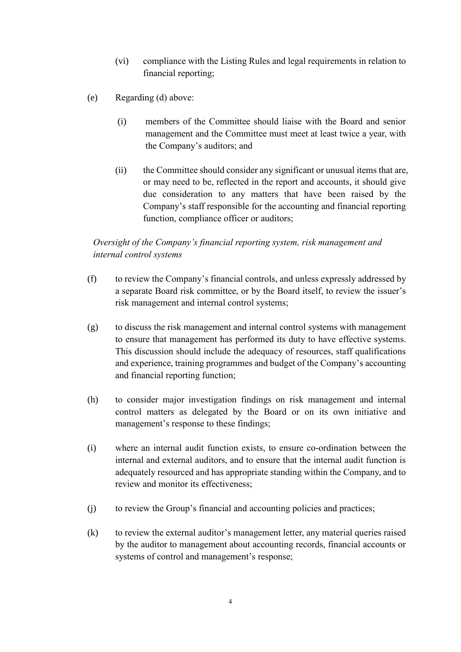- (vi) compliance with the Listing Rules and legal requirements in relation to financial reporting;
- (e) Regarding (d) above:
	- (i) members of the Committee should liaise with the Board and senior management and the Committee must meet at least twice a year, with the Company's auditors; and
	- (ii) the Committee should consider any significant or unusual items that are, or may need to be, reflected in the report and accounts, it should give due consideration to any matters that have been raised by the Company's staff responsible for the accounting and financial reporting function, compliance officer or auditors;

# *Oversight of the Company's financial reporting system, risk management and internal control systems*

- (f) to review the Company's financial controls, and unless expressly addressed by a separate Board risk committee, or by the Board itself, to review the issuer's risk management and internal control systems;
- (g) to discuss the risk management and internal control systems with management to ensure that management has performed its duty to have effective systems. This discussion should include the adequacy of resources, staff qualifications and experience, training programmes and budget of the Company's accounting and financial reporting function;
- (h) to consider major investigation findings on risk management and internal control matters as delegated by the Board or on its own initiative and management's response to these findings;
- (i) where an internal audit function exists, to ensure co-ordination between the internal and external auditors, and to ensure that the internal audit function is adequately resourced and has appropriate standing within the Company, and to review and monitor its effectiveness;
- (j) to review the Group's financial and accounting policies and practices;
- (k) to review the external auditor's management letter, any material queries raised by the auditor to management about accounting records, financial accounts or systems of control and management's response;